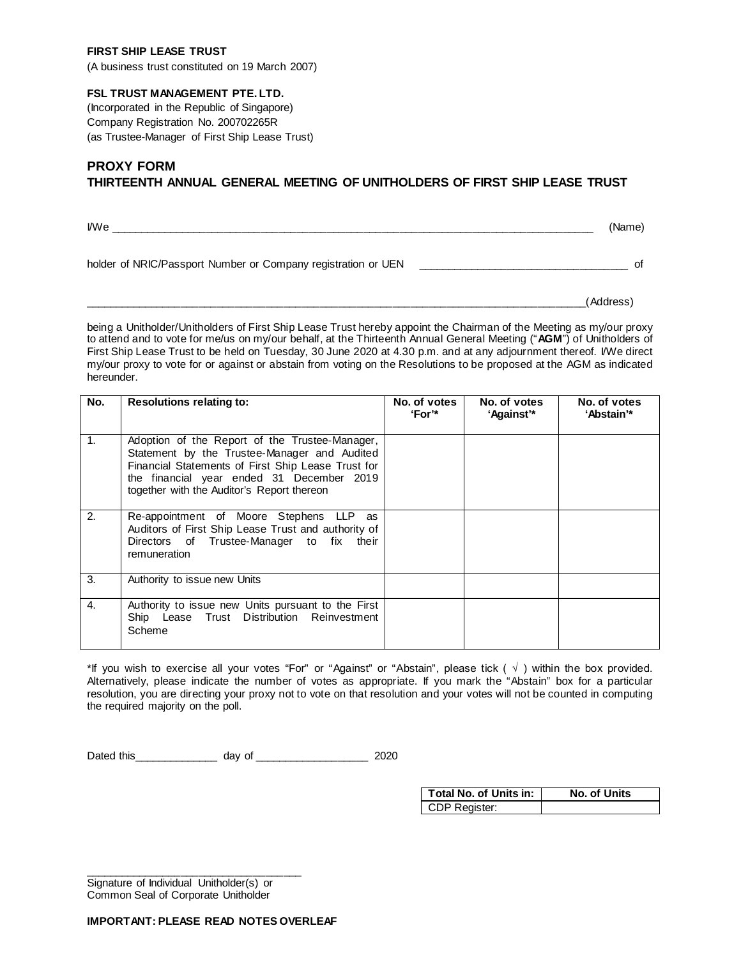### **FIRST SHIP LEASE TRUST**

(A business trust constituted on 19 March 2007)

## **FSL TRUST MANAGEMENT PTE. LTD.**

(Incorporated in the Republic of Singapore) Company Registration No. 200702265R (as Trustee-Manager of First Ship Lease Trust)

# **PROXY FORM THIRTEENTH ANNUAL GENERAL MEETING OF UNITHOLDERS OF FIRST SHIP LEASE TRUST**

 $I$  if the contract of the contract of the contract of the contract of the contract of the contract of  $I$ holder of NRIC/Passport Number or Company registration or UEN \_\_\_\_\_\_\_\_\_\_\_\_\_\_\_\_\_\_\_\_\_\_\_\_\_\_\_\_\_\_\_\_\_\_\_ of

\_\_\_\_\_\_\_\_\_\_\_\_\_\_\_\_\_\_\_\_\_\_\_\_\_\_\_\_\_\_\_\_\_\_\_\_\_\_\_\_\_\_\_\_\_\_\_\_\_\_\_\_\_\_\_\_\_\_\_\_\_\_\_\_\_\_\_\_\_\_\_\_\_\_\_\_\_\_\_\_\_\_\_(Address)

being a Unitholder/Unitholders of First Ship Lease Trust hereby appoint the Chairman of the Meeting as my/our proxy to attend and to vote for me/us on my/our behalf, at the Thirteenth Annual General Meeting ("**AGM**") of Unitholders of First Ship Lease Trust to be held on Tuesday, 30 June 2020 at 4.30 p.m. and at any adjournment thereof. I/We direct my/our proxy to vote for or against or abstain from voting on the Resolutions to be proposed at the AGM as indicated hereunder.

| No.            | <b>Resolutions relating to:</b>                                                                                                                                                                                                                 | No. of votes<br><b>'For'*</b> | No. of votes<br>'Against'* | No. of votes<br>'Abstain'* |
|----------------|-------------------------------------------------------------------------------------------------------------------------------------------------------------------------------------------------------------------------------------------------|-------------------------------|----------------------------|----------------------------|
| $\mathbf{1}$ . | Adoption of the Report of the Trustee-Manager,<br>Statement by the Trustee-Manager and Audited<br>Financial Statements of First Ship Lease Trust for<br>the financial year ended 31 December 2019<br>together with the Auditor's Report thereon |                               |                            |                            |
| 2.             | Re-appointment of Moore Stephens LLP as<br>Auditors of First Ship Lease Trust and authority of<br>Directors of Trustee-Manager to fix their<br>remuneration                                                                                     |                               |                            |                            |
| 3.             | Authority to issue new Units                                                                                                                                                                                                                    |                               |                            |                            |
| 4.             | Authority to issue new Units pursuant to the First<br>Ship Lease Trust Distribution Reinvestment<br>Scheme                                                                                                                                      |                               |                            |                            |

\*If you wish to exercise all your votes "For" or "Against" or "Abstain", please tick  $(\sqrt{})$  within the box provided. Alternatively, please indicate the number of votes as appropriate. If you mark the "Abstain" box for a particular resolution, you are directing your proxy not to vote on that resolution and your votes will not be counted in computing the required majority on the poll.

Dated this\_\_\_\_\_\_\_\_\_\_\_\_\_\_ day of \_\_\_\_\_\_\_\_\_\_\_\_\_\_\_\_\_\_\_ 2020

| <b>Total No. of Units in:</b> | No. of Units |
|-------------------------------|--------------|
| CDP Register:                 |              |

\_\_\_\_\_\_\_\_\_\_\_\_\_\_\_\_\_\_\_\_\_\_\_\_\_\_\_\_\_\_\_\_\_\_\_\_ Signature of Individual Unitholder(s) or Common Seal of Corporate Unitholder